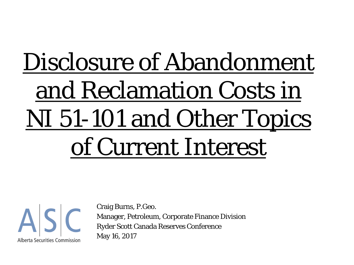# Disclosure of Abandonment and Reclamation Costs in NI 51-101 and Other Topics of Current Interest



Craig Burns, P.Geo. Manager, Petroleum, Corporate Finance Division Ryder Scott Canada Reserves Conference May 16, 2017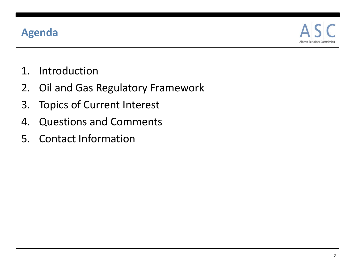#### **Agenda**



- 1. Introduction
- 2. Oil and Gas Regulatory Framework
- 3. Topics of Current Interest
- 4. Questions and Comments
- 5. Contact Information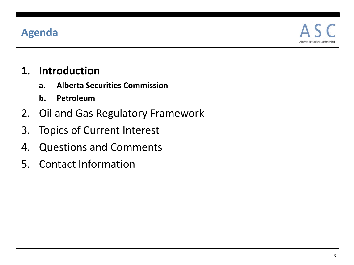#### **Agenda**



#### **1. Introduction**

- **a. Alberta Securities Commission**
- **b. Petroleum**
- 2. Oil and Gas Regulatory Framework
- 3. Topics of Current Interest
- 4. Questions and Comments
- 5. Contact Information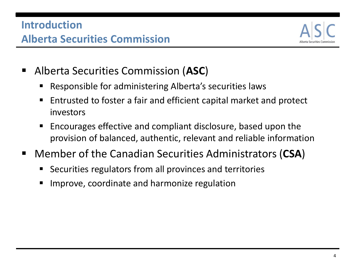

- Alberta Securities Commission (**ASC**)
	- Responsible for administering Alberta's securities laws
	- Entrusted to foster a fair and efficient capital market and protect investors
	- Encourages effective and compliant disclosure, based upon the provision of balanced, authentic, relevant and reliable information
- Member of the Canadian Securities Administrators (**CSA**)
	- Securities regulators from all provinces and territories
	- Improve, coordinate and harmonize regulation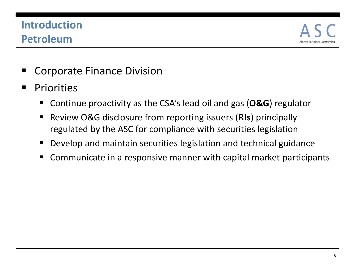## **Introduction Petroleum**



- Corporate Finance Division
- **Priorities** 
	- Continue proactivity as the CSA's lead oil and gas (**O&G**) regulator
	- Review O&G disclosure from reporting issuers (**RIs**) principally regulated by the ASC for compliance with securities legislation
	- Develop and maintain securities legislation and technical guidance
	- Communicate in a responsive manner with capital market participants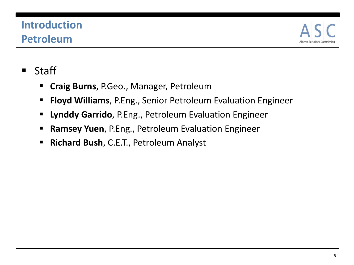# **Introduction Petroleum**



#### **Staff**

- **Craig Burns**, P.Geo., Manager, Petroleum
- **Floyd Williams**, P.Eng., Senior Petroleum Evaluation Engineer
- **Lynddy Garrido**, P.Eng., Petroleum Evaluation Engineer
- **Ramsey Yuen**, P.Eng., Petroleum Evaluation Engineer
- **Richard Bush**, C.E.T., Petroleum Analyst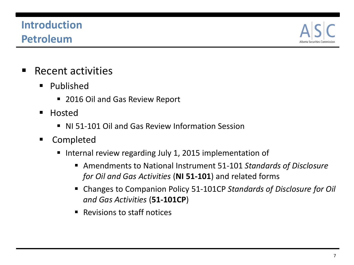# **Introduction Petroleum**



- $\blacksquare$  Recent activities
	- **Published** 
		- 2016 Oil and Gas Review Report
	- **Hosted** 
		- NI 51-101 Oil and Gas Review Information Session
	- **E** Completed
		- Internal review regarding July 1, 2015 implementation of
			- Amendments to National Instrument 51-101 *Standards of Disclosure for Oil and Gas Activities* (**NI 51-101**) and related forms
			- Changes to Companion Policy 51-101CP *Standards of Disclosure for Oil and Gas Activities* (**51-101CP**)
			- Revisions to staff notices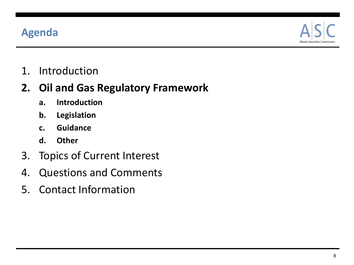#### **Agenda**



1. Introduction

#### **2. Oil and Gas Regulatory Framework**

- **a. Introduction**
- **b. Legislation**
- **c. Guidance**
- **d. Other**
- 3. Topics of Current Interest
- 4. Questions and Comments
- 5. Contact Information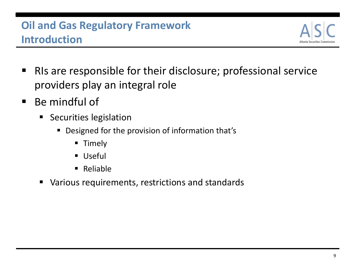# **Oil and Gas Regulatory Framework Introduction**



- RIs are responsible for their disclosure; professional service providers play an integral role
- Be mindful of
	- **Securities legislation** 
		- Designed for the provision of information that's
			- **Timely**
			- **Useful**
			- Reliable
	- Various requirements, restrictions and standards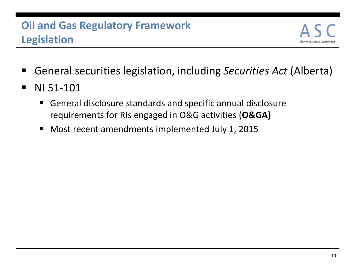

- General securities legislation, including *Securities Act* (Alberta)
- **NI 51-101** 
	- General disclosure standards and specific annual disclosure requirements for RIs engaged in O&G activities (**O&GA)**
	- Most recent amendments implemented July 1, 2015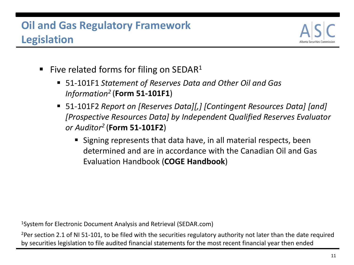# **Oil and Gas Regulatory Framework Legislation**



- Five related forms for filing on SEDAR<sup>1</sup>
	- 51-101F1 *Statement of Reserves Data and Other Oil and Gas Information2* (**Form 51-101F1**)
	- 51-101F2 *Report on [Reserves Data][,] [Contingent Resources Data] [and] [Prospective Resources Data] by Independent Qualified Reserves Evaluator or Auditor2* (**Form 51-101F2**)
		- Signing represents that data have, in all material respects, been determined and are in accordance with the Canadian Oil and Gas Evaluation Handbook (**COGE Handbook**)

1System for Electronic Document Analysis and Retrieval (SEDAR.com)

<sup>2</sup>Per section 2.1 of NI 51-101, to be filed with the securities regulatory authority not later than the date required by securities legislation to file audited financial statements for the most recent financial year then ended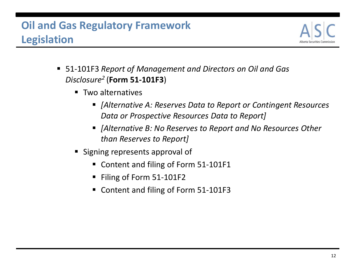# **Oil and Gas Regulatory Framework Legislation**



- 51-101F3 *Report of Management and Directors on Oil and Gas Disclosure2* (**Form 51-101F3**)
	- **Two alternatives** 
		- *[Alternative A: Reserves Data to Report or Contingent Resources Data or Prospective Resources Data to Report]*
		- *[Alternative B: No Reserves to Report and No Resources Other than Reserves to Report]*
	- **Signing represents approval of** 
		- Content and filing of Form 51-101F1
		- Filing of Form 51-101F2
		- Content and filing of Form 51-101F3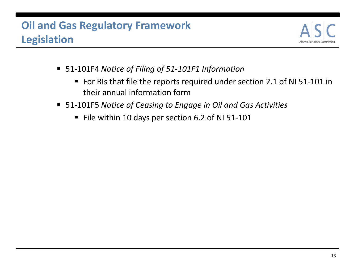# **Oil and Gas Regulatory Framework Legislation**



- 51-101F4 *Notice of Filing of 51-101F1 Information*
	- For RIs that file the reports required under section 2.1 of NI 51-101 in their annual information form
- 51-101F5 *Notice of Ceasing to Engage in Oil and Gas Activities*
	- File within 10 days per section 6.2 of NI 51-101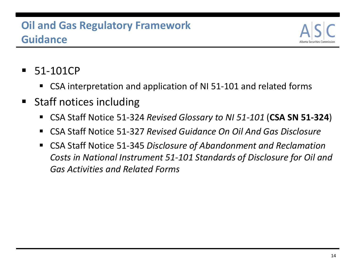## **Oil and Gas Regulatory Framework Guidance**



- 51-101CP
	- CSA interpretation and application of NI 51-101 and related forms
- Staff notices including
	- CSA Staff Notice 51-324 *Revised Glossary to NI 51-101* (**CSA SN 51-324**)
	- CSA Staff Notice 51-327 *Revised Guidance On Oil And Gas Disclosure*
	- CSA Staff Notice 51-345 *Disclosure of Abandonment and Reclamation Costs in National Instrument 51-101 Standards of Disclosure for Oil and Gas Activities and Related Forms*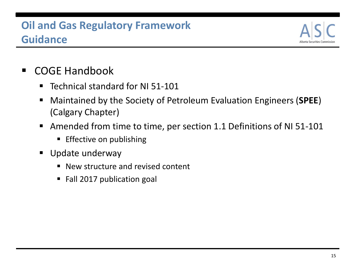# **Oil and Gas Regulatory Framework Guidance**



- COGE Handbook
	- Technical standard for NI 51-101
	- Maintained by the Society of Petroleum Evaluation Engineers (**SPEE**) (Calgary Chapter)
	- Amended from time to time, per section 1.1 Definitions of NI 51-101
		- **Effective on publishing**
	- **Update underway** 
		- New structure and revised content
		- Fall 2017 publication goal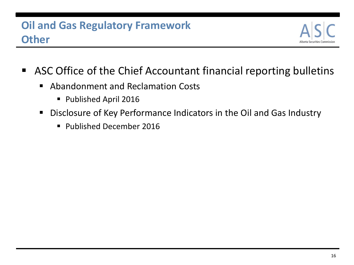

- ASC Office of the Chief Accountant financial reporting bulletins
	- Abandonment and Reclamation Costs
		- **Published April 2016**
	- Disclosure of Key Performance Indicators in the Oil and Gas Industry
		- Published December 2016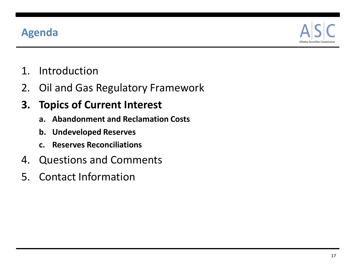#### **Agenda**



- 1. Introduction
- 2. Oil and Gas Regulatory Framework

## **3. Topics of Current Interest**

- **a. Abandonment and Reclamation Costs**
- **b. Undeveloped Reserves**
- **c. Reserves Reconciliations**
- 4. Questions and Comments
- 5. Contact Information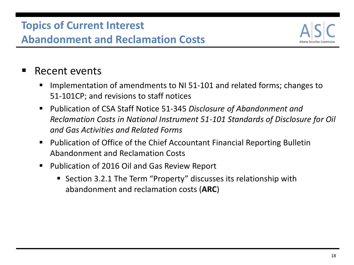

#### ■ Recent events

- Implementation of amendments to NI 51-101 and related forms; changes to 51-101CP; and revisions to staff notices
- Publication of CSA Staff Notice 51-345 *Disclosure of Abandonment and Reclamation Costs in National Instrument 51-101 Standards of Disclosure for Oil and Gas Activities and Related Forms*
- Publication of Office of the Chief Accountant Financial Reporting Bulletin Abandonment and Reclamation Costs
- Publication of 2016 Oil and Gas Review Report
	- Section 3.2.1 The Term "Property" discusses its relationship with abandonment and reclamation costs (**ARC**)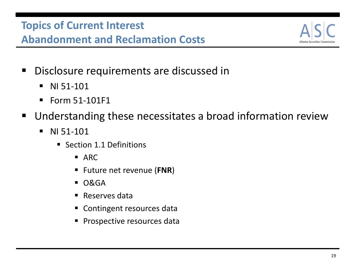

- Disclosure requirements are discussed in
	- $\blacksquare$  NI 51-101
	- $\blacksquare$  Form 51-101F1
- Understanding these necessitates a broad information review
	- $\blacksquare$  NI 51-101
		- Section 1.1 Definitions
			- $ARC$
			- Future net revenue (**FNR**)
			- O&GA
			- **Reserves data**
			- Contingent resources data
			- **Prospective resources data**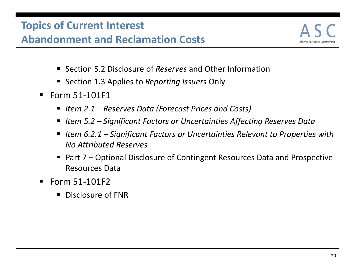

- Section 5.2 Disclosure of *Reserves* and Other Information
- Section 1.3 Applies to *Reporting Issuers* Only
- $\blacksquare$  Form 51-101F1
	- *Item 2.1 – Reserves Data (Forecast Prices and Costs)*
	- Item 5.2 Significant Factors or Uncertainties Affecting Reserves Data
	- Item 6.2.1 Significant Factors or Uncertainties Relevant to Properties with *No Attributed Reserves*
	- Part 7 Optional Disclosure of Contingent Resources Data and Prospective Resources Data
- $\blacksquare$  Form 51-101F2
	- Disclosure of FNR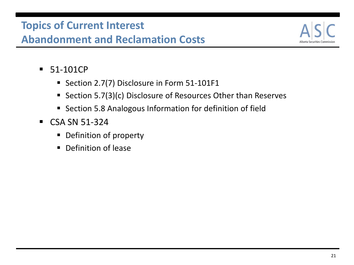

- 51-101CP
	- Section 2.7(7) Disclosure in Form 51-101F1
	- Section 5.7(3)(c) Disclosure of Resources Other than Reserves
	- **Section 5.8 Analogous Information for definition of field**
- $\textdegree$  CSA SN 51-324
	- **•** Definition of property
	- Definition of lease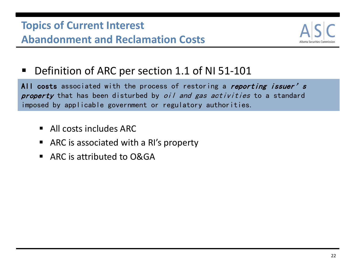

■ Definition of ARC per section 1.1 of NI 51-101

All costs associated with the process of restoring a reporting issuer's property that has been disturbed by *oil and gas activities* to a standard imposed by applicable government or regulatory authorities.

- All costs includes ARC
- ARC is associated with a RI's property
- ARC is attributed to O&GA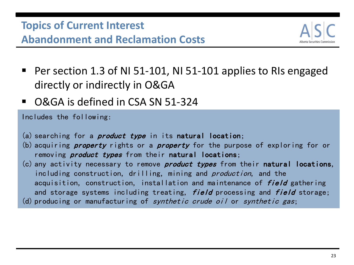

- Per section 1.3 of NI 51-101, NI 51-101 applies to RIs engaged directly or indirectly in O&GA
- O&GA is defined in CSA SN 51-324

Includes the following:

- (a) searching for a *product type* in its **natural location**;
- (b) acquiring *property* rights or a *property* for the purpose of exploring for or removing *product types* from their natural locations;
- (c) any activity necessary to remove *product types* from their natural locations, including construction, drilling, mining and *production*, and the acquisition, construction, installation and maintenance of field gathering and storage systems including treating, field processing and field storage;
- (d) producing or manufacturing of synthetic crude oil or synthetic gas;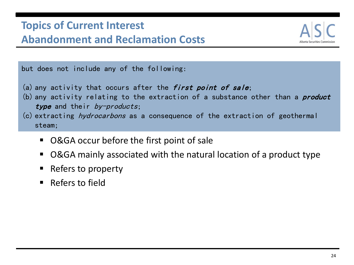

but does not include any of the following:

- (a) any activity that occurs after the *first point of sale*;
- (b) any activity relating to the extraction of a substance other than a *product* type and their by-products;
- (c) extracting hydrocarbons as a consequence of the extraction of geothermal steam;
	- O&GA occur before the first point of sale
	- O&GA mainly associated with the natural location of a product type
	- Refers to property
	- Refers to field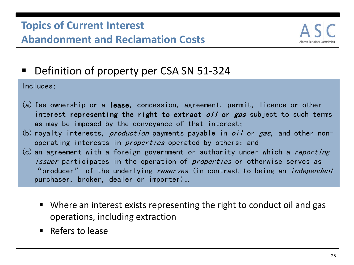

■ Definition of property per CSA SN 51-324

Includes:

- (a) fee ownership or a lease, concession, agreement, permit, licence or other interest **representing the right to extract** *oil* **or gas** subject to such terms as may be imposed by the conveyance of that interest;
- (b) royalty interests, *production* payments payable in *oil* or *gas*, and other nonoperating interests in *properties* operated by others; and
- $(c)$  an agreement with a foreign government or authority under which a reporting *issuer* participates in the operation of *properties* or otherwise serves as "producer" of the underlying reserves (in contrast to being an *independent* purchaser, broker, dealer or importer)…
	- Where an interest exists representing the right to conduct oil and gas operations, including extraction
	- $\blacksquare$  Refers to lease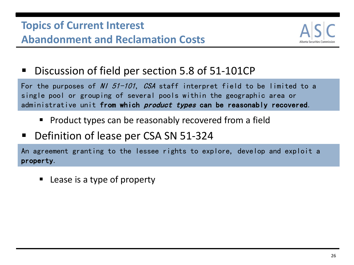

■ Discussion of field per section 5.8 of 51-101CP

For the purposes of N/  $51-101$ , CSA staff interpret field to be limited to a single pool or grouping of several pools within the geographic area or administrative unit from which *product types* can be reasonably recovered.

- $\blacksquare$  Product types can be reasonably recovered from a field
- Definition of lease per CSA SN 51-324

An agreement granting to the lessee rights to explore, develop and exploit a property.

Lease is a type of property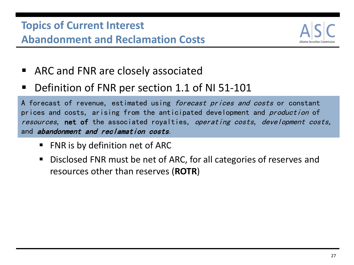

- ARC and FNR are closely associated
- Definition of FNR per section 1.1 of NI 51-101

A forecast of revenue, estimated using *forecast prices and costs* or constant prices and costs, arising from the anticipated development and *production* of resources, net of the associated royalties, operating costs, development costs, and abandonment and reclamation costs.

- FNR is by definition net of ARC
- Disclosed FNR must be net of ARC, for all categories of reserves and resources other than reserves (**ROTR**)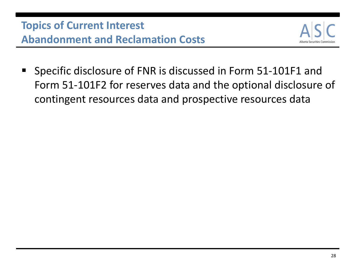

**Specific disclosure of FNR is discussed in Form 51-101F1 and** Form 51-101F2 for reserves data and the optional disclosure of contingent resources data and prospective resources data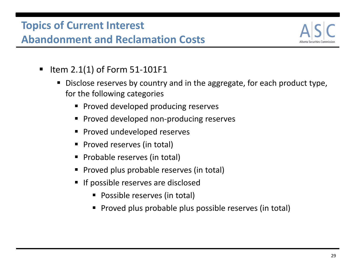

- $\blacksquare$  Item 2.1(1) of Form 51-101F1
	- Disclose reserves by country and in the aggregate, for each product type, for the following categories
		- **Proved developed producing reserves**
		- **Proved developed non-producing reserves**
		- **Proved undeveloped reserves**
		- **Proved reserves (in total)**
		- Probable reserves (in total)
		- **Proved plus probable reserves (in total)**
		- If possible reserves are disclosed
			- Possible reserves (in total)
			- **Proved plus probable plus possible reserves (in total)**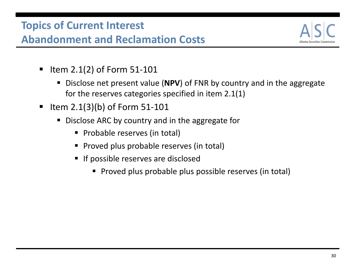

- $\blacksquare$  Item 2.1(2) of Form 51-101
	- Disclose net present value (**NPV**) of FNR by country and in the aggregate for the reserves categories specified in item 2.1(1)
- $\blacksquare$  Item 2.1(3)(b) of Form 51-101
	- Disclose ARC by country and in the aggregate for
		- **Probable reserves (in total)**
		- **Proved plus probable reserves (in total)**
		- **If possible reserves are disclosed** 
			- **Proved plus probable plus possible reserves (in total)**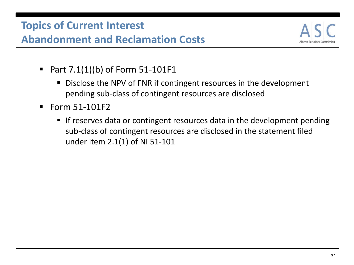

- Part  $7.1(1)(b)$  of Form  $51-101F1$ 
	- Disclose the NPV of FNR if contingent resources in the development pending sub-class of contingent resources are disclosed
- $\blacksquare$  Form 51-101F2
	- If reserves data or contingent resources data in the development pending sub-class of contingent resources are disclosed in the statement filed under item 2.1(1) of NI 51-101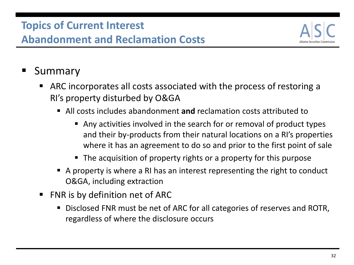

# Summary

- ARC incorporates all costs associated with the process of restoring a RI's property disturbed by O&GA
	- All costs includes abandonment **and** reclamation costs attributed to
		- Any activities involved in the search for or removal of product types and their by-products from their natural locations on a RI's properties where it has an agreement to do so and prior to the first point of sale
		- The acquisition of property rights or a property for this purpose
	- A property is where a RI has an interest representing the right to conduct O&GA, including extraction
- FNR is by definition net of ARC
	- Disclosed FNR must be net of ARC for all categories of reserves and ROTR, regardless of where the disclosure occurs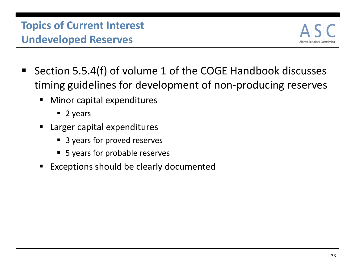# **Topics of Current Interest Undeveloped Reserves**



- Section 5.5.4(f) of volume 1 of the COGE Handbook discusses timing guidelines for development of non-producing reserves
	- Minor capital expenditures
		- $\blacksquare$  2 years
	- Larger capital expenditures
		- 3 years for proved reserves
		- 5 years for probable reserves
	- Exceptions should be clearly documented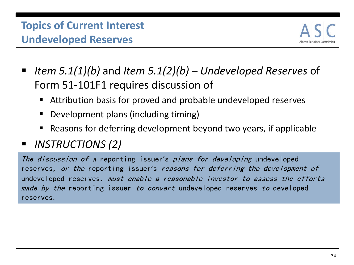# **Topics of Current Interest Undeveloped Reserves**



- *Item 5.1(1)(b)* and *Item 5.1(2)(b) – Undeveloped Reserves* of Form 51-101F1 requires discussion of
	- Attribution basis for proved and probable undeveloped reserves
	- Development plans (including timing)
	- Reasons for deferring development beyond two years, if applicable
- *INSTRUCTIONS (2)*

The discussion of a reporting issuer's plans for developing undeveloped reserves, or the reporting issuer's reasons for deferring the development of undeveloped reserves, must enable a reasonable investor to assess the efforts made by the reporting issuer to convert undeveloped reserves to developed reserves.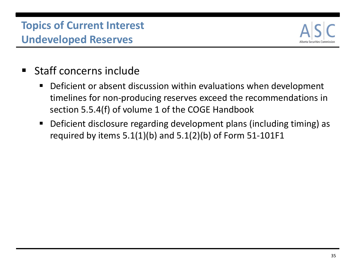# **Topics of Current Interest Undeveloped Reserves**



- Staff concerns include
	- Deficient or absent discussion within evaluations when development timelines for non-producing reserves exceed the recommendations in section 5.5.4(f) of volume 1 of the COGE Handbook
	- Deficient disclosure regarding development plans (including timing) as required by items  $5.1(1)(b)$  and  $5.1(2)(b)$  of Form  $51-101F1$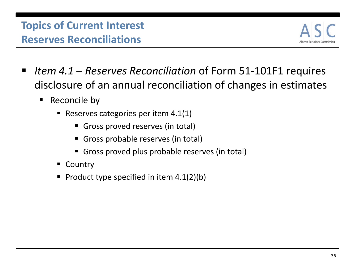

- *Item 4.1 Reserves Reconciliation* of Form 51-101F1 requires disclosure of an annual reconciliation of changes in estimates
	- $\blacksquare$  Reconcile by
		- Reserves categories per item  $4.1(1)$ 
			- Gross proved reserves (in total)
			- Gross probable reserves (in total)
			- Gross proved plus probable reserves (in total)
		- **Country**
		- Product type specified in item  $4.1(2)(b)$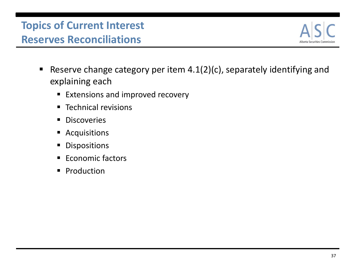

- Reserve change category per item  $4.1(2)(c)$ , separately identifying and explaining each
	- **Extensions and improved recovery**
	- **Technical revisions**
	- **Discoveries**
	- **Acquisitions**
	- **Dispositions**
	- Economic factors
	- **Production**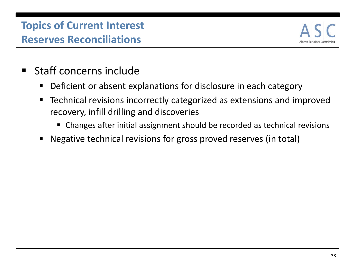

- **Staff concerns include** 
	- Deficient or absent explanations for disclosure in each category
	- Technical revisions incorrectly categorized as extensions and improved recovery, infill drilling and discoveries
		- Changes after initial assignment should be recorded as technical revisions
	- Negative technical revisions for gross proved reserves (in total)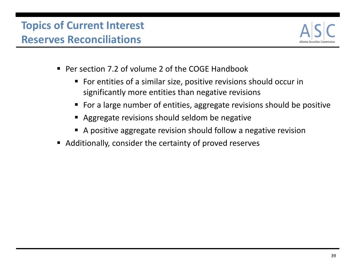

- Per section 7.2 of volume 2 of the COGE Handbook
	- For entities of a similar size, positive revisions should occur in significantly more entities than negative revisions
	- For a large number of entities, aggregate revisions should be positive
	- Aggregate revisions should seldom be negative
	- A positive aggregate revision should follow a negative revision
- Additionally, consider the certainty of proved reserves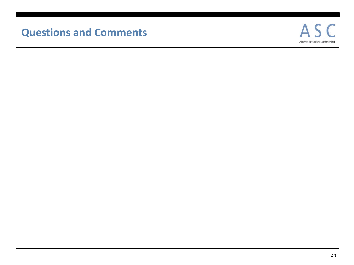#### **Questions and Comments**